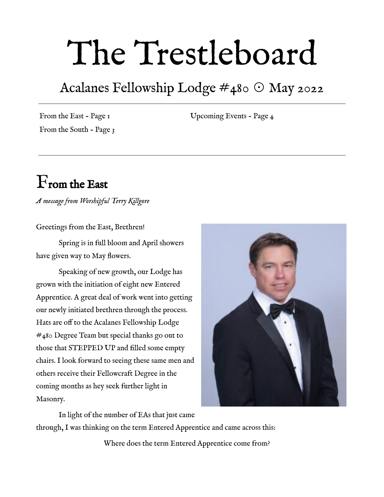## The Trestleboard

### Acalanes Fellowship Lodge #480 ☉ May 2022

From the East - Page 1 From the South - Page 3 Upcoming Events - Page 4

## From the East

*A message from Worshipful Terry Killgore*

Greetings from the East, Brethren!

Spring is in full bloom and April showers have given way to May flowers.

Speaking of new growth, our Lodge has grown with the initiation of eight new Entered Apprentice. A great deal of work went into getting our newly initiated brethren through the process. Hats are off to the Acalanes Fellowship Lodge #480 Degree Team but special thanks go out to those that STEPPED UP and filled some empty chairs. I look forward to seeing these same men and others receive their Fellowcraft Degree in the coming months as hey seek further light in Masonry.



In light of the number of EAs that just came through, I was thinking on the term Entered Apprentice and came across this:

Where does the term Entered Apprentice come from?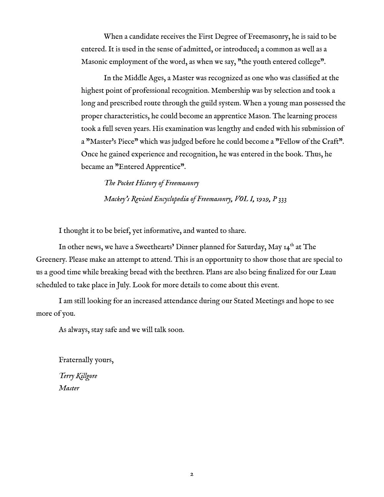When a candidate receives the First Degree of Freemasonry, he is said to be entered. It is used in the sense of admitted, or introduced; a common as well as a Masonic employment of the word, as when we say, "the youth entered college".

In the Middle Ages, a Master was recognized as one who was classified at the highest point of professional recognition. Membership was by selection and took a long and prescribed route through the guild system. When a young man possessed the proper characteristics, he could become an apprentice Mason. The learning process took a full seven years. His examination was lengthy and ended with his submission of a "Master's Piece" which was judged before he could become a "Fellow of the Craft". Once he gained experience and recognition, he was entered in the book. Thus, he became an "Entered Apprentice".

*The Pocket History of Freemasonry Mackey's Revised Encyclopedia of Freemasonry, VOL I, 1929, P 333*

I thought it to be brief, yet informative, and wanted to share.

In other news, we have a Sweethearts' Dinner planned for Saturday, May 14<sup>th</sup> at The Greenery. Please make an attempt to attend. This is an opportunity to show those that are special to us a good time while breaking bread with the brethren. Plans are also being finalized for our Luau scheduled to take place in July. Look for more details to come about this event.

I am still looking for an increased attendance during our Stated Meetings and hope to see more of you.

As always, stay safe and we will talk soon.

Fraternally yours, *Terry Killgore Master*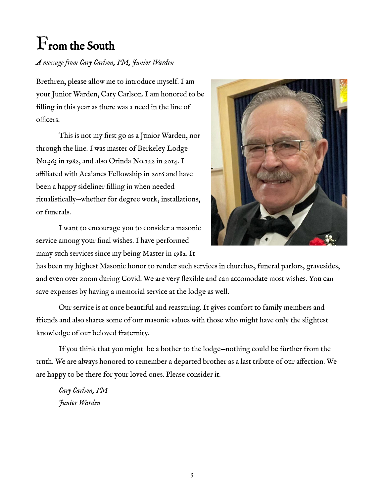## From the South

#### *A message from Cary Carlson, PM, Junior Warden*

Brethren, please allow me to introduce myself. I am your Junior Warden, Cary Carlson. I am honored to be filling in this year as there was a need in the line of officers.

This is not my first go as a Junior Warden, nor through the line. I was master of Berkeley Lodge No.363 in 1982, and also Orinda No.122 in 2014. I affiliated with Acalanes Fellowship in 2016 and have been a happy sideliner filling in when needed ritualistically—whether for degree work, installations, or funerals.

I want to encourage you to consider a masonic service among your final wishes. I have performed many such services since my being Master in 1982. It



has been my highest Masonic honor to render such services in churches, funeral parlors, gravesides, and even over zoom during Covid. We are very flexible and can accomodate most wishes. You can save expenses by having a memorial service at the lodge as well.

Our service is at once beautiful and reassuring. It gives comfort to family members and friends and also shares some of our masonic values with those who might have only the slightest knowledge of our beloved fraternity.

If you think that you might be a bother to the lodge—nothing could be further from the truth. We are always honored to remember a departed brother as a last tribute of our affection. We are happy to be there for your loved ones. Please consider it.

*Cary Carlson, PM Junior Warden*